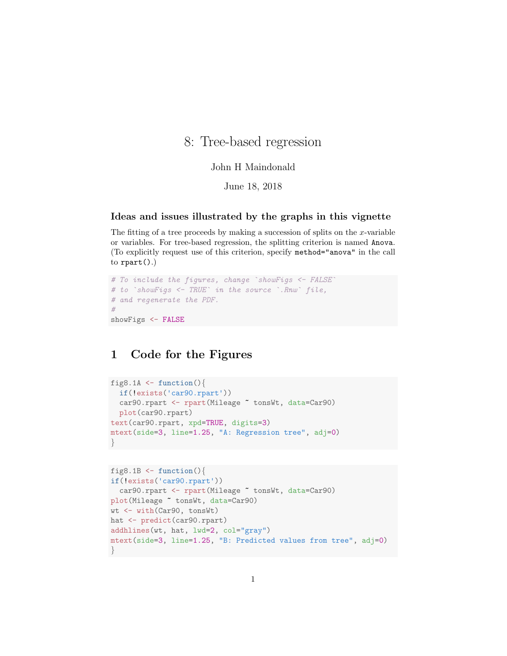# 8: Tree-based regression

#### John H Maindonald

June 18, 2018

#### Ideas and issues illustrated by the graphs in this vignette

The fitting of a tree proceeds by making a succession of splits on the  $x$ -variable or variables. For tree-based regression, the splitting criterion is named Anova. (To explicitly request use of this criterion, specify method="anova" in the call to  $\text{rpart}()$ .)

```
# To include the figures, change `showFigs <- FALSE
# to `showFigs <- TRUE` in the source `.Rnw` file,
# and regenerate the PDF.
#
showFigs <- FALSE
```
## 1 Code for the Figures

```
fig8.1A \leftarrow function(){
  if(!exists('car90.rpart'))
 car90.rpart <- rpart(Mileage ~ tonsWt, data=Car90)
 plot(car90.rpart)
text(car90.rpart, xpd=TRUE, digits=3)
mtext(side=3, line=1.25, "A: Regression tree", adj=0)
}
```

```
fig8.1B \leftarrow function(){
if(!exists('car90.rpart'))
 car90.rpart <- rpart(Mileage ~ tonsWt, data=Car90)
plot(Mileage ~ tonsWt, data=Car90)
wt <- with(Car90, tonsWt)
hat <- predict(car90.rpart)
addhlines(wt, hat, lwd=2, col="gray")
mtext(side=3, line=1.25, "B: Predicted values from tree", adj=0)
}
```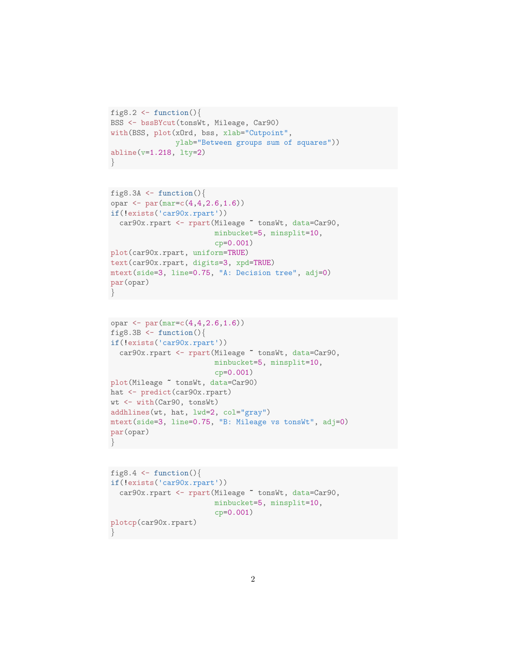```
fig8.2 <- function(){
BSS <- bssBYcut(tonsWt, Mileage, Car90)
with(BSS, plot(xOrd, bss, xlab="Cutpoint",
               ylab="Between groups sum of squares"))
abline(v=1.218, lty=2)
}
```

```
fig8.3A \leftarrow function(){
opar \leq par(mar=c(4,4,2.6,1.6))
if(!exists('car90x.rpart'))
  car90x.rpart <- rpart(Mileage ~ tonsWt, data=Car90,
                         minbucket=5, minsplit=10,
                         cp=0.001)
plot(car90x.rpart, uniform=TRUE)
text(car90x.rpart, digits=3, xpd=TRUE)
mtext(side=3, line=0.75, "A: Decision tree", adj=0)
par(opar)
}
```

```
opar <- par(mar=c(4,4,2.6,1.6))
fig8.3B \leftarrow function(){
if(!exists('car90x.rpart'))
  car90x.rpart <- rpart(Mileage ~ tonsWt, data=Car90,
                         minbucket=5, minsplit=10,
                         cp=0.001)
plot(Mileage ~ tonsWt, data=Car90)
hat <- predict(car90x.rpart)
wt <- with(Car90, tonsWt)
addhlines(wt, hat, lwd=2, col="gray")
mtext(side=3, line=0.75, "B: Mileage vs tonsWt", adj=0)
par(opar)
}
```

```
fig8.4 \leftarrow function(){
if(!exists('car90x.rpart'))
  car90x.rpart <- rpart(Mileage ~ tonsWt, data=Car90,
                          minbucket=5, minsplit=10,
                          cp=0.001)
plotcp(car90x.rpart)
}
```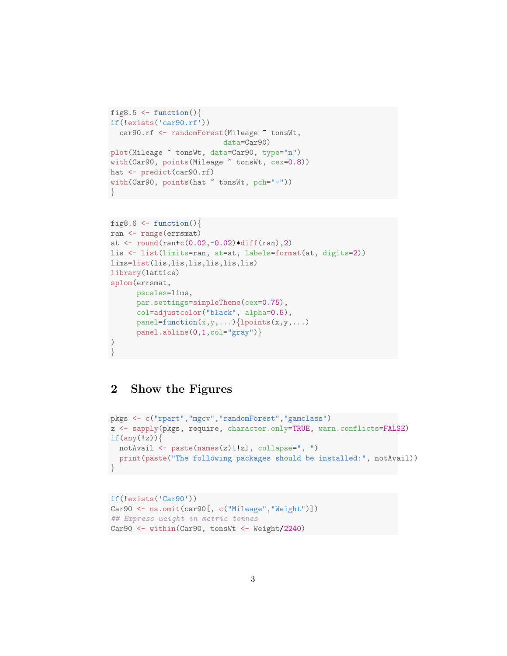```
fig8.5 \le function(){
if(!exists('car90.rf'))
  car90.rf <- randomForest(Mileage "tonsWt,
                          data=Car90)
plot(Mileage ~ tonsWt, data=Car90, type="n")
with(Car90, points(Mileage ~ tonsWt, cex=0.8))
hat <- predict(car90.rf)
with(Car90, points(hat ~ tonsWt, pch="-"))
}
```

```
fig8.6 \leftarrow function(){
ran <- range(errsmat)
at \le round(ran+c(0.02,-0.02)*diff(ran),2)
lis <- list(limits=ran, at=at, labels=format(at, digits=2))
lims=list(lis,lis,lis,lis,lis,lis)
library(lattice)
splom(errsmat,
      pscales=lims,
      par.settings=simpleTheme(cex=0.75),
      col=adjustcolor("black", alpha=0.5),
      panel = function(x, y, ...){lpoints(x,y,...)
      panel.abline(0,1,col="gray")}
)
}
```
### 2 Show the Figures

```
pkgs <- c("rpart","mgcv","randomForest","gamclass")
z <- sapply(pkgs, require, character.only=TRUE, warn.conflicts=FALSE)
if(any(!z)){
  notAvail <- paste(names(z)[!z], collapse=", ")
  print(paste("The following packages should be installed:", notAvail))
}
```

```
if(!exists('Car90'))
Car90 <- na.omit(car90[, c("Mileage", "Weight")])
## Express weight in metric tonnes
Car90 <- within(Car90, tonsWt <- Weight/2240)
```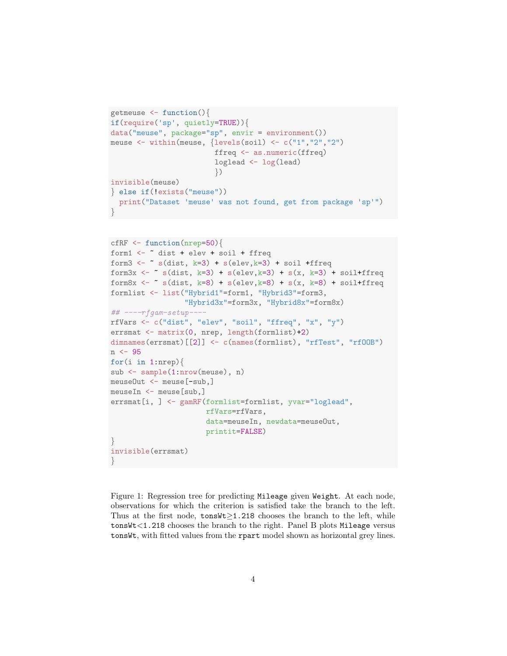```
getmeuse <- function(){
if(require('sp', quietly=TRUE)){
data("meuse", package="sp", envir = environment())
meuse <- within(meuse, {levels(soil) <- c("1","2","2")
                        ffreq <- as.numeric(ffreq)
                        loglead <- log(lead)
                        })
invisible(meuse)
} else if(!exists("meuse"))
 print("Dataset 'meuse' was not found, get from package 'sp'")
}
```

```
cfRF <- function(nrep=50){
form1 \leftarrow \sim dist + elev + soil + ffreq
form3 \leftarrow \sim s(dist, k=3) + s(elev,k=3) + soil +ffreq
form3x <- \degree s(dist, k=3) + s(elev,k=3) + s(x, k=3) + soil+ffreq
form8x <- \tilde{ } s(dist, k=8) + s(elev,k=8) + s(x, k=8) + soil+ffreq
formlist <- list("Hybrid1"=form1, "Hybrid3"=form3,
                  "Hybrid3x"=form3x, "Hybrid8x"=form8x)
\#H ----rfgam-setup---
rfVars <- c("dist", "elev", "soil", "ffreq", "x", "y")
errsmat <- matrix(0, nrep, length(formlist)+2)
dimnames(errsmat)[[2]] <- c(names(formlist), "rfTest", "rf00B")
n <- 95
for(i in 1:nrep){
sub <- sample(1:nrow(meuse), n)
meuseOut <- meuse[-sub,]
meuseIn <- meuse[sub,]
errsmat[i, ] <- gamRF(formlist=formlist, yvar="loglead",
                       rfVars=rfVars,
                       data=meuseIn, newdata=meuseOut,
                       printit=FALSE)
}
invisible(errsmat)
}
```
Figure 1: Regression tree for predicting Mileage given Weight. At each node, observations for which the criterion is satisfied take the branch to the left. Thus at the first node,  $\text{tonsWt} \geq 1.218$  chooses the branch to the left, while tonsWt<1.218 chooses the branch to the right. Panel B plots Mileage versus tonsWt, with fitted values from the rpart model shown as horizontal grey lines.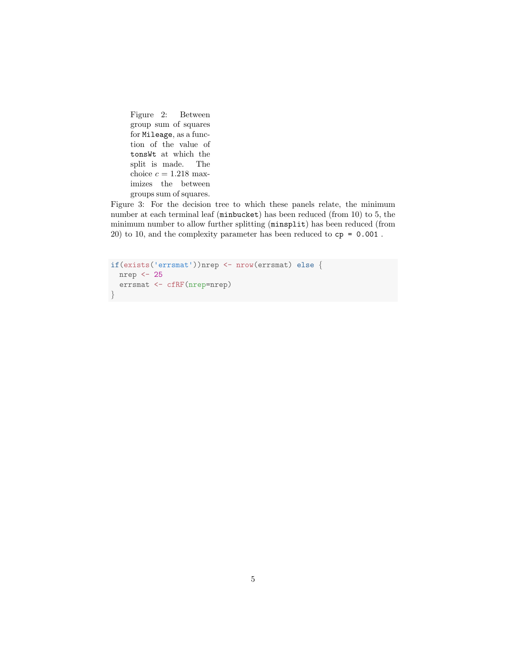Figure 2: Between group sum of squares for Mileage, as a function of the value of tonsWt at which the split is made. The choice  $c = 1.218$  maximizes the between groups sum of squares.

Figure 3: For the decision tree to which these panels relate, the minimum number at each terminal leaf (minbucket) has been reduced (from 10) to 5, the minimum number to allow further splitting (minsplit) has been reduced (from 20) to 10, and the complexity parameter has been reduced to  $cp = 0.001$ .

```
if(exists('errsmat'))nrep <- nrow(errsmat) else {
 nrep <- 25
 errsmat <- cfRF(nrep=nrep)
}
```